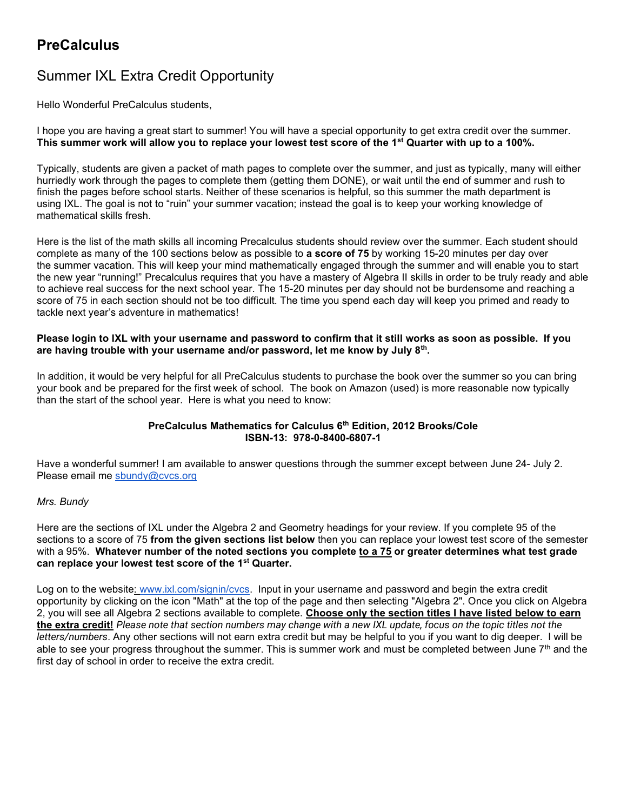# **PreCalculus**

# Summer IXL Extra Credit Opportunity

Hello Wonderful PreCalculus students,

I hope you are having a great start to summer! You will have a special opportunity to get extra credit over the summer. This summer work will allow you to replace your lowest test score of the 1<sup>st</sup> Quarter with up to a 100%.

Typically, students are given a packet of math pages to complete over the summer, and just as typically, many will either hurriedly work through the pages to complete them (getting them DONE), or wait until the end of summer and rush to finish the pages before school starts. Neither of these scenarios is helpful, so this summer the math department is using IXL. The goal is not to "ruin" your summer vacation; instead the goal is to keep your working knowledge of mathematical skills fresh.

Here is the list of the math skills all incoming Precalculus students should review over the summer. Each student should complete as many of the 100 sections below as possible to a score of 75 by working 15-20 minutes per day over the summer vacation. This will keep your mind mathematically engaged through the summer and will enable you to start the new year "running!" Precalculus requires that you have a mastery of Algebra II skills in order to be truly ready and able to achieve real success for the next school year. The 15-20 minutes per day should not be burdensome and reaching a score of 75 in each section should not be too difficult. The time you spend each day will keep you primed and ready to tackle next year's adventure in mathematics!

#### Please login to IXL with your username and password to confirm that it still works as soon as possible. If you are having trouble with your username and/or password, let me know by July 8 $^{\rm th}$ .

In addition, it would be very helpful for all PreCalculus students to purchase the book over the summer so you can bring your book and be prepared for the first week of school. The book on Amazon (used) is more reasonable now typically than the start of the school year. Here is what you need to know:

#### PreCalculus Mathematics for Calculus 6<sup>th</sup> Edition, 2012 Brooks/Cole ISBN-13: 978-0-8400-6807-1

Have a wonderful summer! I am available to answer questions through the summer except between June 24- July 2. Please email me sbundy@cvcs.org

# Mrs. Bundy

Here are the sections of IXL under the Algebra 2 and Geometry headings for your review. If you complete 95 of the sections to a score of 75 from the given sections list below then you can replace your lowest test score of the semester with a 95%. Whatever number of the noted sections you complete to a 75 or greater determines what test grade can replace your lowest test score of the 1<sup>st</sup> Quarter.

Log on to the website: www.ixl.com/signin/cvcs. Input in your username and password and begin the extra credit opportunity by clicking on the icon "Math" at the top of the page and then selecting "Algebra 2". Once you click on Algebra 2, you will see all Algebra 2 sections available to complete. Choose only the section titles I have listed below to earn the extra credit! Please note that section numbers may change with a new IXL update, focus on the topic titles not the letters/numbers. Any other sections will not earn extra credit but may be helpful to you if you want to dig deeper. I will be able to see your progress throughout the summer. This is summer work and must be completed between June  $7<sup>th</sup>$  and the first day of school in order to receive the extra credit.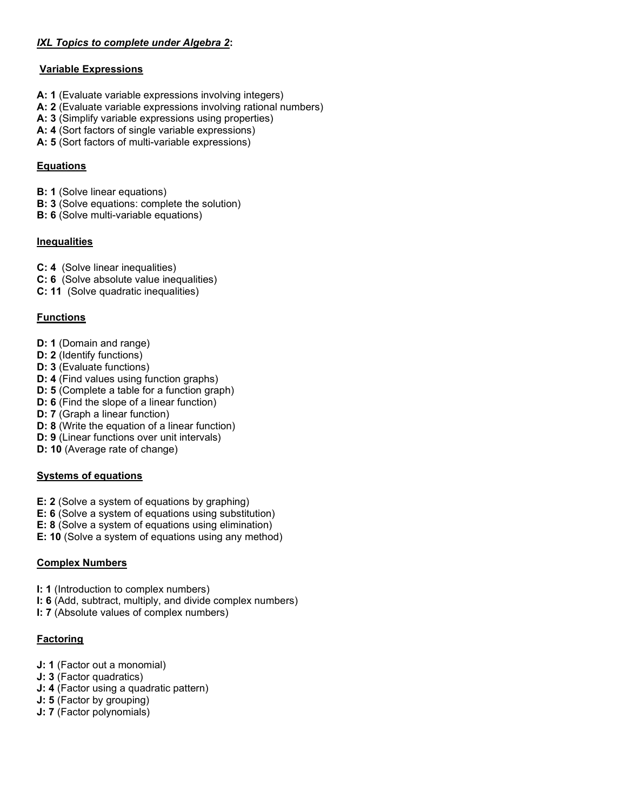# IXL Topics to complete under Algebra 2:

#### Variable Expressions

- A: 1 (Evaluate variable expressions involving integers)
- A: 2 (Evaluate variable expressions involving rational numbers)
- A: 3 (Simplify variable expressions using properties)
- A: 4 (Sort factors of single variable expressions)
- A: 5 (Sort factors of multi-variable expressions)

#### Equations

- B: 1 (Solve linear equations)
- B: 3 (Solve equations: complete the solution)
- B: 6 (Solve multi-variable equations)

#### Inequalities

- C: 4 (Solve linear inequalities)
- C: 6 (Solve absolute value inequalities)
- C: 11 (Solve quadratic inequalities)

# Functions

- D: 1 (Domain and range)
- D: 2 (Identify functions)
- D: 3 (Evaluate functions)
- D: 4 (Find values using function graphs)
- D: 5 (Complete a table for a function graph)
- D: 6 (Find the slope of a linear function)
- D: 7 (Graph a linear function)
- D: 8 (Write the equation of a linear function)
- D: 9 (Linear functions over unit intervals)
- D: 10 (Average rate of change)

# Systems of equations

- E: 2 (Solve a system of equations by graphing)
- E: 6 (Solve a system of equations using substitution)
- E: 8 (Solve a system of equations using elimination)
- E: 10 (Solve a system of equations using any method)

# Complex Numbers

- I: 1 (Introduction to complex numbers)
- I: 6 (Add, subtract, multiply, and divide complex numbers)
- I: 7 (Absolute values of complex numbers)

# Factoring

- J: 1 (Factor out a monomial)
- J: 3 (Factor quadratics)
- J: 4 (Factor using a quadratic pattern)
- J: 5 (Factor by grouping)
- J: 7 (Factor polynomials)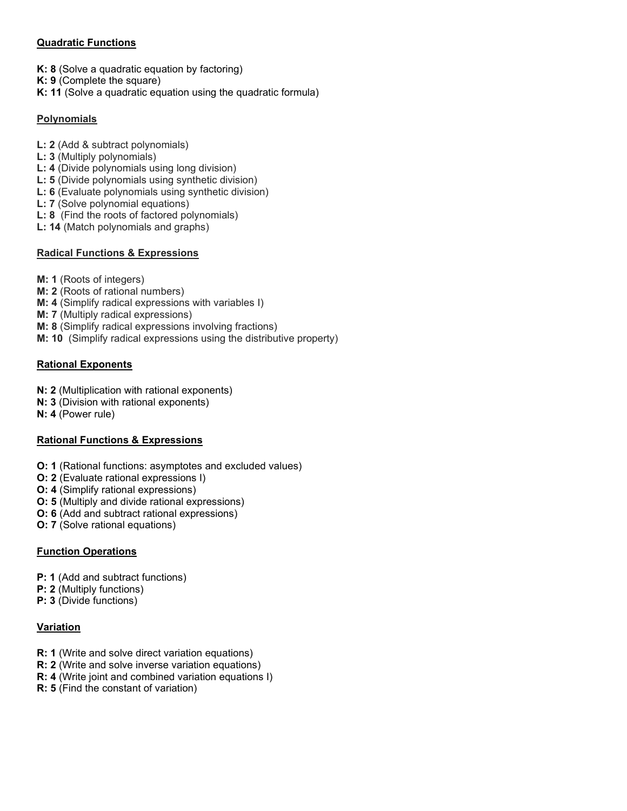# Quadratic Functions

- K: 8 (Solve a quadratic equation by factoring)
- K: 9 (Complete the square)
- K: 11 (Solve a quadratic equation using the quadratic formula)

# **Polynomials**

- L: 2 (Add & subtract polynomials)
- L: 3 (Multiply polynomials)
- L: 4 (Divide polynomials using long division)
- L: 5 (Divide polynomials using synthetic division)
- L: 6 (Evaluate polynomials using synthetic division)
- L: 7 (Solve polynomial equations)
- L: 8 (Find the roots of factored polynomials)
- L: 14 (Match polynomials and graphs)

# Radical Functions & Expressions

- M: 1 (Roots of integers)
- M: 2 (Roots of rational numbers)
- M: 4 (Simplify radical expressions with variables I)
- M: 7 (Multiply radical expressions)
- M: 8 (Simplify radical expressions involving fractions)
- M: 10 (Simplify radical expressions using the distributive property)

# Rational Exponents

- N: 2 (Multiplication with rational exponents)
- N: 3 (Division with rational exponents)
- N: 4 (Power rule)

# Rational Functions & Expressions

- O: 1 (Rational functions: asymptotes and excluded values)
- O: 2 (Evaluate rational expressions I)
- O: 4 (Simplify rational expressions)
- O: 5 (Multiply and divide rational expressions)
- O: 6 (Add and subtract rational expressions)
- O: 7 (Solve rational equations)

# Function Operations

- P: 1 (Add and subtract functions)
- P: 2 (Multiply functions)
- P: 3 (Divide functions)

# Variation

- R: 1 (Write and solve direct variation equations)
- R: 2 (Write and solve inverse variation equations)
- R: 4 (Write joint and combined variation equations I)
- R: 5 (Find the constant of variation)